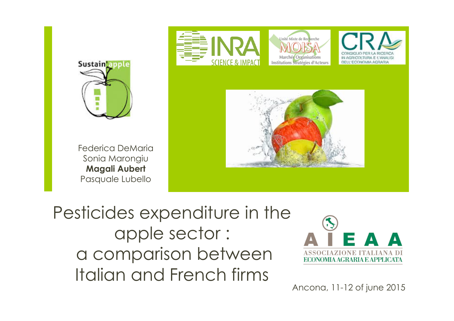

Pesticides expenditure in the apple sector : a comparison between Italian and French firms

Sustain apple



Ancona, 11-12 of june 2015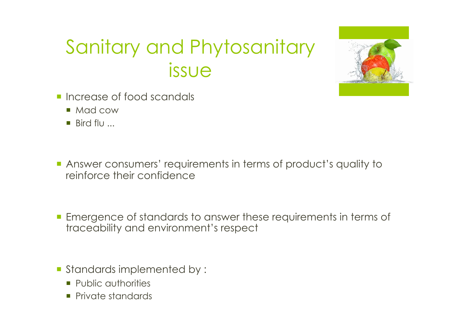## Sanitary and Phytosanitary issue



- **· Increase of food scandals** 
	- Mad cow
	- $\blacksquare$  Bird flu

¡ Answer consumers' requirements in terms of product's quality to reinforce their confidence

¡ Emergence of standards to answer these requirements in terms of traceability and environment's respect

- ¡ Standards implemented by :
	- **Public authorities**
	- **•** Private standards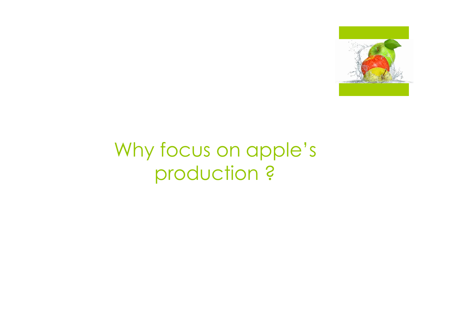

## Why focus on apple's production ?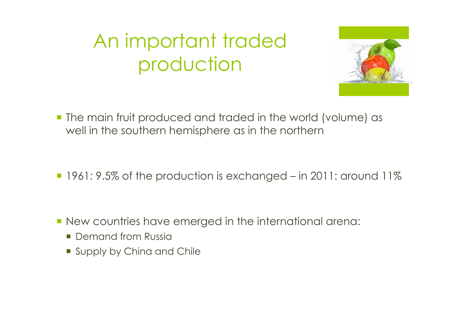# An important traded production



- **The main fruit produced and traded in the world (volume) as** well in the southern hemisphere as in the northern
- ¡ 1961: 9.5% of the production is exchanged in 2011: around 11%

- ¡ New countries have emerged in the international arena:
	- Demand from Russia
	- **Supply by China and Chile**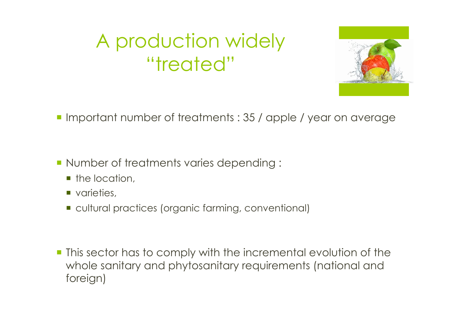# A production widely "treated"



- ¡ Important number of treatments : 35 / apple / year on average
- ¡ Number of treatments varies depending :
	- $\blacksquare$  the location.
	- varieties,
	- ¡ cultural practices (organic farming, conventional)

¡ This sector has to comply with the incremental evolution of the whole sanitary and phytosanitary requirements (national and foreign)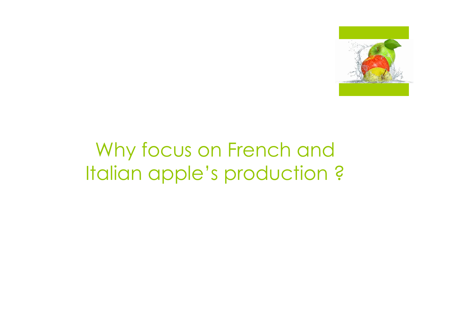

### Why focus on French and Italian apple's production ?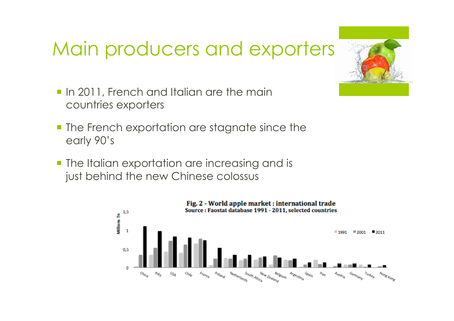### Main producers and exporters

- **In 2011, French and Italian are the main** countries exporters
- **The French exportation are stagnate since the** early 90's
- **The Italian exportation are increasing and is** just behind the new Chinese colossus



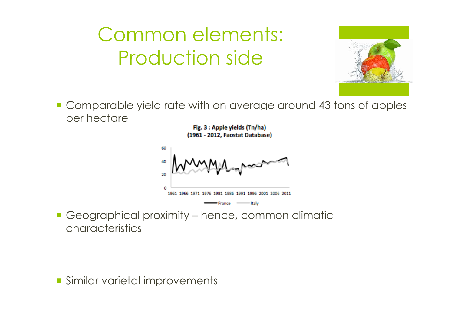# Common elements: Production side



¡ Comparable yield rate with on average around 43 tons of apples per hectare

> Fig. 3 : Apple yields (Tn/ha) (1961 - 2012, Faostat Database)



■ Geographical proximity – hence, common climatic characteristics

**Similar varietal improvements**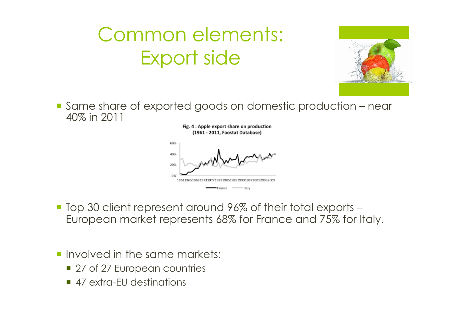# Common elements: Export side



■ Same share of exported goods on domestic production – near 40% in 2011

> Fig. 4 : Apple export share on production (1961 - 2011, Faostat Database)



- Top 30 client represent around 96% of their total exports European market represents 68% for France and 75% for Italy.
- **Involved in the same markets:** 
	- 27 of 27 European countries
	- 47 extra-FU destinations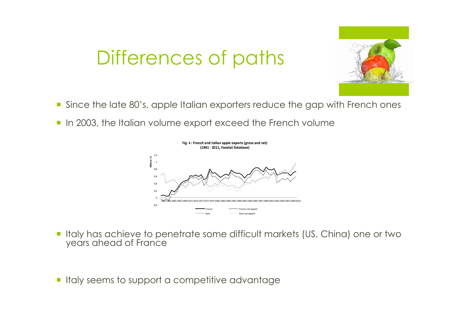



- ¡ Since the late 80's, apple Italian exporters reduce the gap with French ones
- **In 2003, the Italian volume export exceed the French volume**



- ¡ Italy has achieve to penetrate some difficult markets (US, China) one or two years ahead of France
- Italy seems to support a competitive advantage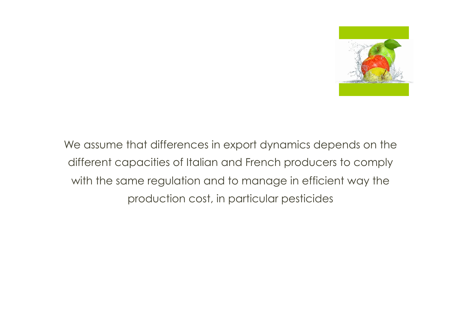

We assume that differences in export dynamics depends on the different capacities of Italian and French producers to comply with the same regulation and to manage in efficient way the production cost, in particular pesticides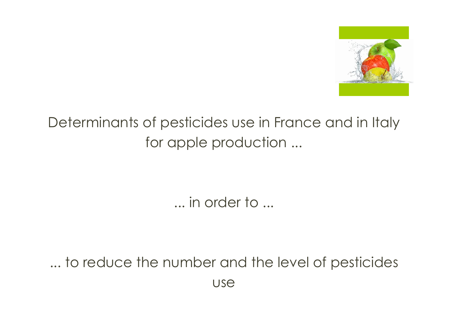

### Determinants of pesticides use in France and in Italy for apple production ...

... in order to ...

... to reduce the number and the level of pesticides use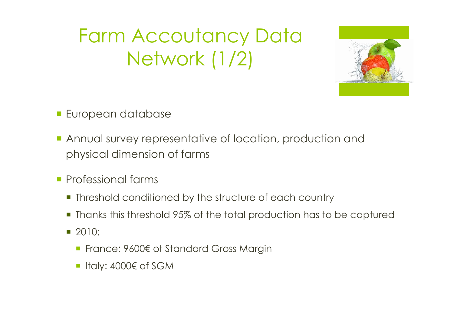Farm Accoutancy Data Network (1/2)



- **European database**
- **Annual survey representative of location, production and** physical dimension of farms
- **Professional farms** 
	- **Threshold conditioned by the structure of each country**
	- Thanks this threshold 95% of the total production has to be captured
	- $\blacksquare$  2010:
		- France: 9600€ of Standard Gross Margin
		- Italy: 4000€ of SGM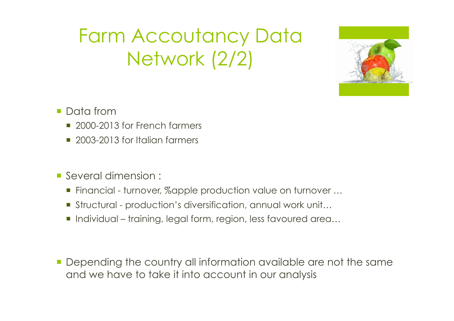Farm Accoutancy Data Network (2/2)



- **Data from** 
	- 2000-2013 for French farmers
	- 2003-2013 for Italian farmers
- ¡ Several dimension :
	- Financial turnover, %apple production value on turnover ...
	- Structural production's diversification, annual work unit...
	- ¡ Individual training, legal form, region, less favoured area…
- **Depending the country all information available are not the same** and we have to take it into account in our analysis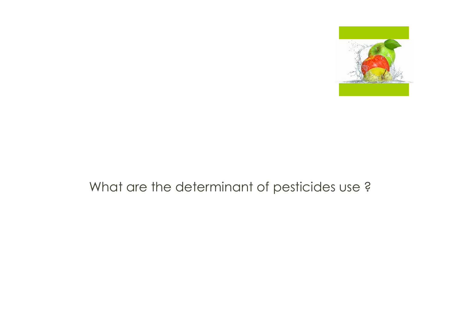

### What are the determinant of pesticides use ?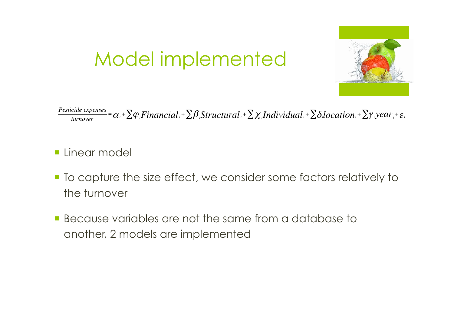

## Model implemented

 $\frac{Pesticide\ expenses}{turnover}$  =  $\alpha$ <sub>i</sub> +  $\sum \varphi$  *<sub>i</sub>Financial* i +  $\sum \beta$  *<sub>i</sub>Structural* i +  $\sum \chi$  *iIndividual* i +  $\sum \delta$  *i*Jocation i +  $\sum \gamma$  *iyear* i +  $\varepsilon$  i

- **Exercise Linear model**
- ¡ To capture the size effect, we consider some factors relatively to the turnover
- **E** Because variables are not the same from a database to another, 2 models are implemented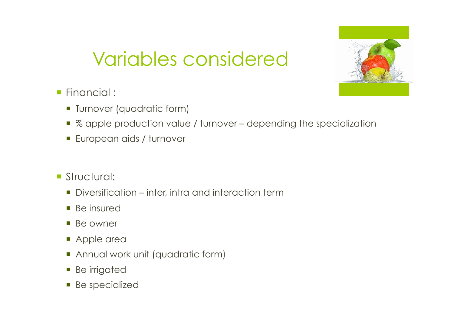

# Variables considered

- **Financial :** 
	- **Turnover (quadratic form)**
	- % apple production value / turnover depending the specialization
	- **European aids / turnover**
- **Structural:** 
	- Diversification inter, intra and interaction term
	- Be insured
	- Be owner
	- **Apple area**
	- **Annual work unit (quadratic form)**
	- **Be irrigated**
	- **•** Be specialized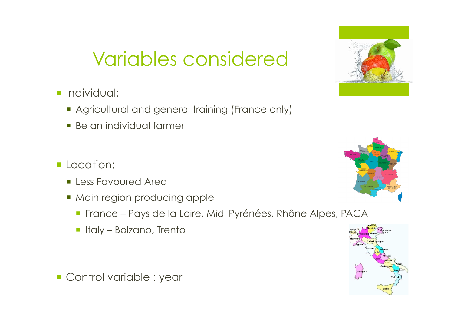### Variables considered

### **·** Individual:

- **Agricultural and general training (France only)**
- Be an individual farmer
- **Location:** 
	- **Eless Favoured Area**
	- Main region producing apple
		- ¡ France Pays de la Loire, Midi Pyrénées, Rhône Alpes, PACA
		- **·** Italy Bolzano, Trento

**Control variable : year** 





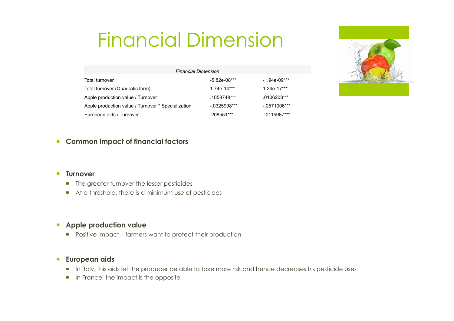## Financial Dimension



| <b>Financial Dimension</b>                         |                 |                |
|----------------------------------------------------|-----------------|----------------|
| Total turnover                                     | $-5.82e-08***$  | -1.94e-09***   |
| Total turnover (Quadratic form)                    | $1.74e-14***$   | $1.24e-17***$  |
| Apple production value / Turnover                  | .1058748***     | $.0106208***$  |
| Apple production value / Turnover * Specialization | $-0.0325998***$ | $-.0571006***$ |
| European aids / Turnover                           | .208551***      | $-0.115987***$ |

#### ¡ **Common impact of financial factors**

#### ¡ **Turnover**

- The greater turnover the lesser pesticides
- ¡ At a threshold, there is a minimum use of pesticides

#### ¡ **Apple production value**

■ Positive impact – farmers want to protect their production

#### ¡ **European aids**

- **In Italy, this aids let the producer be able to take more risk and hence decreases his pesticide uses**
- **•** In France, the impact is the opposite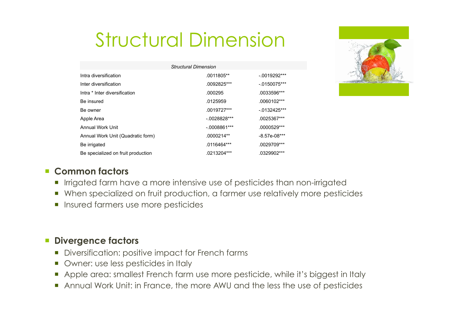# Structural Dimension

| <b>Structural Dimension</b>        |               |                 |  |  |
|------------------------------------|---------------|-----------------|--|--|
| Intra diversification              | .0011805**    | $-.0019292***$  |  |  |
| Inter diversification              | .0092825***   | $-.0150075***$  |  |  |
| Intra * Inter diversification      | .000295       | .0033596***     |  |  |
| Be insured                         | .0125959      | $.0060102***$   |  |  |
| Be owner                           | $.0019727***$ | $-0.0132425***$ |  |  |
| Apple Area                         | $-0028828***$ | .0025367***     |  |  |
| Annual Work Unit                   | $-0008861***$ | .0000529***     |  |  |
| Annual Work Unit (Quadratic form)  | .0000214**    | $-8.57e-08***$  |  |  |
| Be irrigated                       | $.0116464***$ | .0029709***     |  |  |
| Be specialized on fruit production | .0213204***   | .0329902***     |  |  |



#### ¡ **Common factors**

- **•** Irrigated farm have a more intensive use of pesticides than non-irrigated
- ¡ When specialized on fruit production, a farmer use relatively more pesticides
- **Insured farmers use more pesticides**

### ¡ **Divergence factors**

- **•** Diversification: positive impact for French farms
- Owner: use less pesticides in Italy
- ¡ Apple area: smallest French farm use more pesticide, while it's biggest in Italy
- ¡ Annual Work Unit: in France, the more AWU and the less the use of pesticides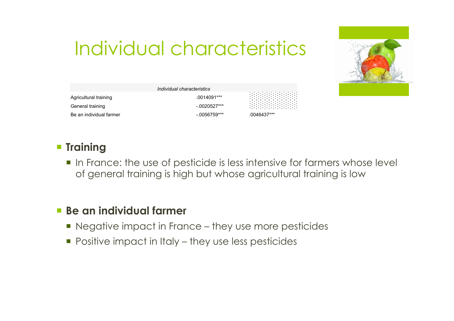## Individual characteristics



|                         | Individual characteristics |             |
|-------------------------|----------------------------|-------------|
| Agricultural training   | .0014091***                |             |
| General training        | $-.0020527***$             |             |
| Be an individual farmer | $-0.0056759***$            | .0046437*** |

### ¡ **Training**

¡ In France: the use of pesticide is less intensive for farmers whose level of general training is high but whose agricultural training is low

### ¡ **Be an individual farmer**

- Negative impact in France they use more pesticides
- Positive impact in Italy they use less pesticides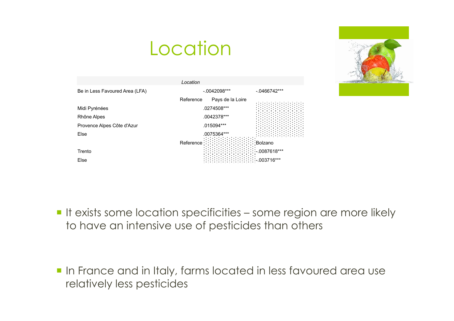

### **Location**

| Location                       |                               |                |  |  |
|--------------------------------|-------------------------------|----------------|--|--|
| Be in Less Favoured Area (LFA) | $-.0042098***$                | $-.0466742***$ |  |  |
|                                | Reference<br>Pays de la Loire |                |  |  |
| Midi Pyrénées                  | .0274508***                   |                |  |  |
| Rhône Alpes                    | .0042378***                   |                |  |  |
| Provence Alpes Côte d'Azur     | .015094***                    |                |  |  |
| Else                           | .0075364***                   |                |  |  |
|                                | Reference                     | :Bolzano       |  |  |
| Trento                         |                               | $-.0087618***$ |  |  |
| Else                           |                               | $-003716***$   |  |  |

**If exists some location specificities - some region are more likely** to have an intensive use of pesticides than others

**In France and in Italy, farms located in less favoured area use** relatively less pesticides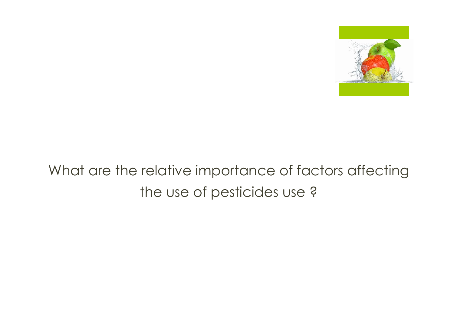

### What are the relative importance of factors affecting the use of pesticides use ?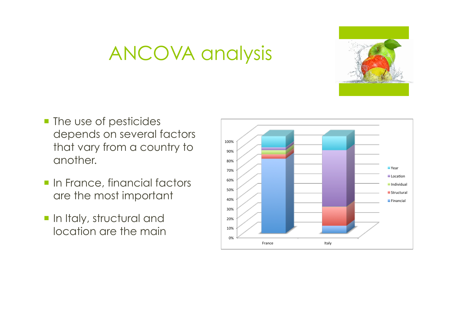

### ANCOVA analysis

- **The use of pesticides** depends on several factors that vary from a country to another.
- **· In France, financial factors** are the most important
- **In Italy, structural and** location are the main

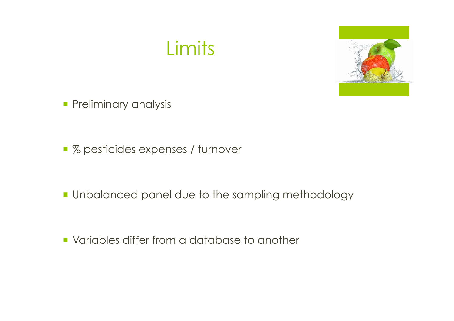

- **Preliminary analysis**
- % pesticides expenses / turnover

- **Unbalanced panel due to the sampling methodology**
- ¡ Variables differ from a database to another

Limits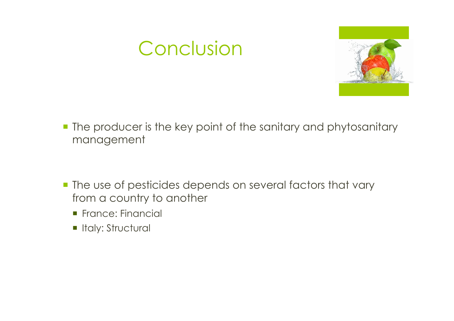### Conclusion



- **The producer is the key point of the sanitary and phytosanitary** management
- **The use of pesticides depends on several factors that vary** from a country to another
	- **France: Financial**
	- **In Italy: Structural**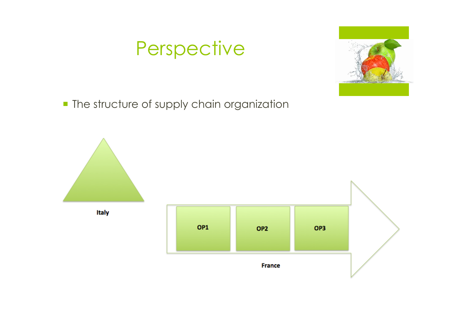### Perspective



**• The structure of supply chain organization**